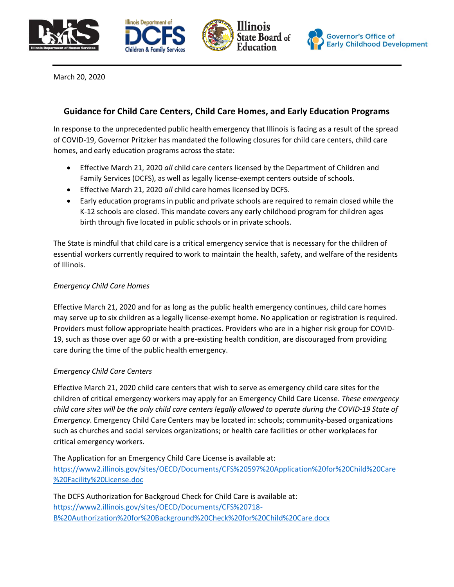







March 20, 2020

# **Guidance for Child Care Centers, Child Care Homes, and Early Education Programs**

In response to the unprecedented public health emergency that Illinois is facing as a result of the spread of COVID-19, Governor Pritzker has mandated the following closures for child care centers, child care homes, and early education programs across the state:

- Effective March 21, 2020 *all* child care centers licensed by the Department of Children and Family Services (DCFS), as well as legally license-exempt centers outside of schools.
- Effective March 21, 2020 *all* child care homes licensed by DCFS.
- Early education programs in public and private schools are required to remain closed while the K-12 schools are closed. This mandate covers any early childhood program for children ages birth through five located in public schools or in private schools.

The State is mindful that child care is a critical emergency service that is necessary for the children of essential workers currently required to work to maintain the health, safety, and welfare of the residents of Illinois.

## *Emergency Child Care Homes*

Effective March 21, 2020 and for as long as the public health emergency continues, child care homes may serve up to six children as a legally license-exempt home. No application or registration is required. Providers must follow appropriate health practices. Providers who are in a higher risk group for COVID-19, such as those over age 60 or with a pre-existing health condition, are discouraged from providing care during the time of the public health emergency.

## *Emergency Child Care Centers*

Effective March 21, 2020 child care centers that wish to serve as emergency child care sites for the children of critical emergency workers may apply for an Emergency Child Care License. *These emergency child care sites will be the only child care centers legally allowed to operate during the COVID-19 State of Emergency*. Emergency Child Care Centers may be located in: schools; community-based organizations such as churches and social services organizations; or health care facilities or other workplaces for critical emergency workers.

The Application for an Emergency Child Care License is available at: [https://www2.illinois.gov/sites/OECD/Documents/CFS%20597%20Application%20for%20Child%20Care](https://www2.illinois.gov/sites/OECD/Documents/CFS%20597%20Application%20for%20Child%20Care%20Facility%20License.doc) [%20Facility%20License.doc](https://www2.illinois.gov/sites/OECD/Documents/CFS%20597%20Application%20for%20Child%20Care%20Facility%20License.doc)

The DCFS Authorization for Backgroud Check for Child Care is available at: [https://www2.illinois.gov/sites/OECD/Documents/CFS%20718-](https://www2.illinois.gov/sites/OECD/Documents/CFS%20718-B%20Authorization%20for%20Background%20Check%20for%20Child%20Care.docx) [B%20Authorization%20for%20Background%20Check%20for%20Child%20Care.docx](https://www2.illinois.gov/sites/OECD/Documents/CFS%20718-B%20Authorization%20for%20Background%20Check%20for%20Child%20Care.docx)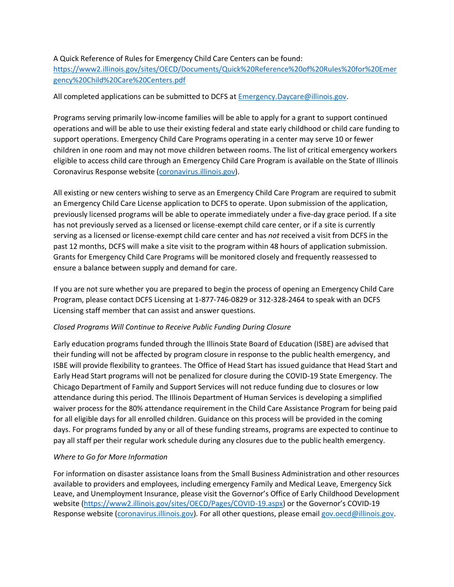#### A Quick Reference of Rules for Emergency Child Care Centers can be found:

[https://www2.illinois.gov/sites/OECD/Documents/Quick%20Reference%20of%20Rules%20for%20Emer](https://www2.illinois.gov/sites/OECD/Documents/Quick%20Reference%20of%20Rules%20for%20Emergency%20Child%20Care%20Centers.pdf) [gency%20Child%20Care%20Centers.pdf](https://www2.illinois.gov/sites/OECD/Documents/Quick%20Reference%20of%20Rules%20for%20Emergency%20Child%20Care%20Centers.pdf)

### All completed applications can be submitted to DCFS at **Emergency.Daycare@illinois.gov.**

Programs serving primarily low-income families will be able to apply for a grant to support continued operations and will be able to use their existing federal and state early childhood or child care funding to support operations. Emergency Child Care Programs operating in a center may serve 10 or fewer children in one room and may not move children between rooms. The list of critical emergency workers eligible to access child care through an Emergency Child Care Program is available on the State of Illinois Coronavirus Response website [\(coronavirus.illinois.gov\)](https://www2.illinois.gov/sites/coronavirus/Pages/default.aspx).

All existing or new centers wishing to serve as an Emergency Child Care Program are required to submit an Emergency Child Care License application to DCFS to operate. Upon submission of the application, previously licensed programs will be able to operate immediately under a five-day grace period. If a site has not previously served as a licensed or license-exempt child care center, or if a site is currently serving as a licensed or license-exempt child care center and has *not* received a visit from DCFS in the past 12 months, DCFS will make a site visit to the program within 48 hours of application submission. Grants for Emergency Child Care Programs will be monitored closely and frequently reassessed to ensure a balance between supply and demand for care.

If you are not sure whether you are prepared to begin the process of opening an Emergency Child Care Program, please contact DCFS Licensing at 1-877-746-0829 or 312-328-2464 to speak with an DCFS Licensing staff member that can assist and answer questions.

#### *Closed Programs Will Continue to Receive Public Funding During Closure*

Early education programs funded through the Illinois State Board of Education (ISBE) are advised that their funding will not be affected by program closure in response to the public health emergency, and ISBE will provide flexibility to grantees. The Office of Head Start has issued guidance that Head Start and Early Head Start programs will not be penalized for closure during the COVID-19 State Emergency. The Chicago Department of Family and Support Services will not reduce funding due to closures or low attendance during this period. The Illinois Department of Human Services is developing a simplified waiver process for the 80% attendance requirement in the Child Care Assistance Program for being paid for all eligible days for all enrolled children. Guidance on this process will be provided in the coming days. For programs funded by any or all of these funding streams, programs are expected to continue to pay all staff per their regular work schedule during any closures due to the public health emergency.

## *Where to Go for More Information*

For information on disaster assistance loans from the Small Business Administration and other resources available to providers and employees, including emergency Family and Medical Leave, Emergency Sick Leave, and Unemployment Insurance, please visit the Governor's Office of Early Childhood Development website [\(https://www2.illinois.gov/sites/OECD/Pages/COVID-19.aspx](https://www2.illinois.gov/sites/OECD/Pages/COVID-19.aspx)) or the Governor's COVID-19 Response website [\(coronavirus.illinois.gov\)](https://www2.illinois.gov/sites/coronavirus/Pages/default.aspx). For all other questions, please emai[l gov.oecd@illinois.gov.](mailto:gov.oecd@illinois.gov)